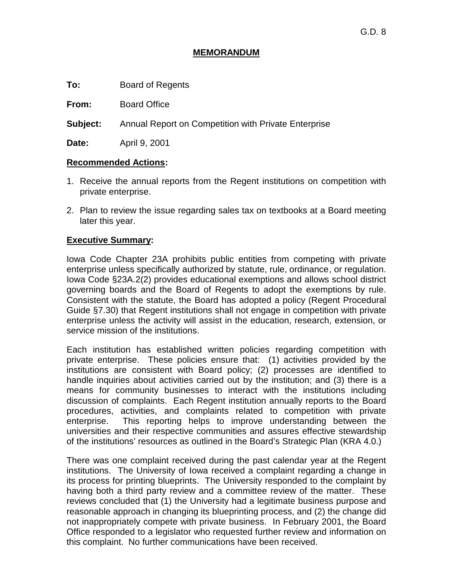# **MEMORANDUM**

**To:** Board of Regents

**From:** Board Office

**Subject:** Annual Report on Competition with Private Enterprise

**Date:** April 9, 2001

## **Recommended Actions:**

- 1. Receive the annual reports from the Regent institutions on competition with private enterprise.
- 2. Plan to review the issue regarding sales tax on textbooks at a Board meeting later this year.

# **Executive Summary:**

Iowa Code Chapter 23A prohibits public entities from competing with private enterprise unless specifically authorized by statute, rule, ordinance, or regulation. Iowa Code §23A.2(2) provides educational exemptions and allows school district governing boards and the Board of Regents to adopt the exemptions by rule. Consistent with the statute, the Board has adopted a policy (Regent Procedural Guide §7.30) that Regent institutions shall not engage in competition with private enterprise unless the activity will assist in the education, research, extension, or service mission of the institutions.

Each institution has established written policies regarding competition with private enterprise. These policies ensure that: (1) activities provided by the institutions are consistent with Board policy; (2) processes are identified to handle inquiries about activities carried out by the institution; and (3) there is a means for community businesses to interact with the institutions including discussion of complaints. Each Regent institution annually reports to the Board procedures, activities, and complaints related to competition with private enterprise. This reporting helps to improve understanding between the universities and their respective communities and assures effective stewardship of the institutions' resources as outlined in the Board's Strategic Plan (KRA 4.0.)

There was one complaint received during the past calendar year at the Regent institutions. The University of Iowa received a complaint regarding a change in its process for printing blueprints. The University responded to the complaint by having both a third party review and a committee review of the matter. These reviews concluded that (1) the University had a legitimate business purpose and reasonable approach in changing its blueprinting process, and (2) the change did not inappropriately compete with private business. In February 2001, the Board Office responded to a legislator who requested further review and information on this complaint. No further communications have been received.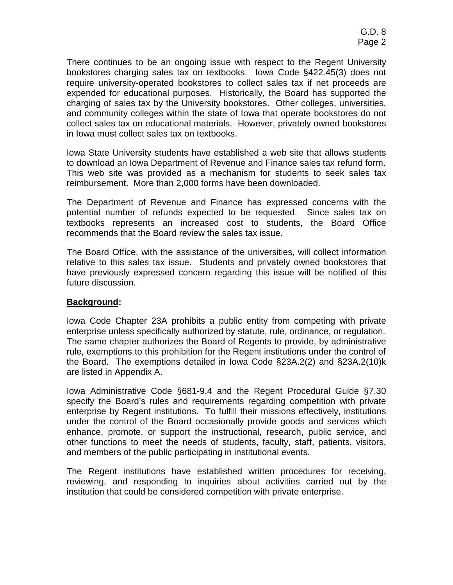There continues to be an ongoing issue with respect to the Regent University bookstores charging sales tax on textbooks. Iowa Code §422.45(3) does not require university-operated bookstores to collect sales tax if net proceeds are expended for educational purposes. Historically, the Board has supported the charging of sales tax by the University bookstores. Other colleges, universities, and community colleges within the state of Iowa that operate bookstores do not collect sales tax on educational materials. However, privately owned bookstores in Iowa must collect sales tax on textbooks.

Iowa State University students have established a web site that allows students to download an Iowa Department of Revenue and Finance sales tax refund form. This web site was provided as a mechanism for students to seek sales tax reimbursement. More than 2,000 forms have been downloaded.

The Department of Revenue and Finance has expressed concerns with the potential number of refunds expected to be requested. Since sales tax on textbooks represents an increased cost to students, the Board Office recommends that the Board review the sales tax issue.

The Board Office, with the assistance of the universities, will collect information relative to this sales tax issue. Students and privately owned bookstores that have previously expressed concern regarding this issue will be notified of this future discussion.

# **Background:**

Iowa Code Chapter 23A prohibits a public entity from competing with private enterprise unless specifically authorized by statute, rule, ordinance, or regulation. The same chapter authorizes the Board of Regents to provide, by administrative rule, exemptions to this prohibition for the Regent institutions under the control of the Board. The exemptions detailed in Iowa Code §23A.2(2) and §23A.2(10)k are listed in Appendix A.

Iowa Administrative Code §681-9.4 and the Regent Procedural Guide §7.30 specify the Board's rules and requirements regarding competition with private enterprise by Regent institutions. To fulfill their missions effectively, institutions under the control of the Board occasionally provide goods and services which enhance, promote, or support the instructional, research, public service, and other functions to meet the needs of students, faculty, staff, patients, visitors, and members of the public participating in institutional events.

The Regent institutions have established written procedures for receiving, reviewing, and responding to inquiries about activities carried out by the institution that could be considered competition with private enterprise.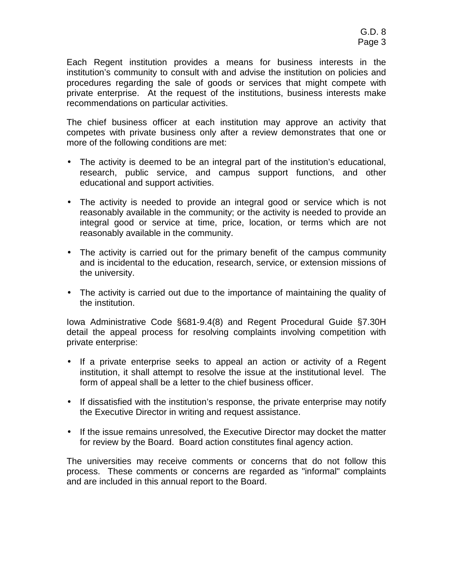Each Regent institution provides a means for business interests in the institution's community to consult with and advise the institution on policies and procedures regarding the sale of goods or services that might compete with private enterprise. At the request of the institutions, business interests make recommendations on particular activities.

The chief business officer at each institution may approve an activity that competes with private business only after a review demonstrates that one or more of the following conditions are met:

- The activity is deemed to be an integral part of the institution's educational, research, public service, and campus support functions, and other educational and support activities.
- The activity is needed to provide an integral good or service which is not reasonably available in the community; or the activity is needed to provide an integral good or service at time, price, location, or terms which are not reasonably available in the community.
- The activity is carried out for the primary benefit of the campus community and is incidental to the education, research, service, or extension missions of the university.
- The activity is carried out due to the importance of maintaining the quality of the institution.

Iowa Administrative Code §681-9.4(8) and Regent Procedural Guide §7.30H detail the appeal process for resolving complaints involving competition with private enterprise:

- If a private enterprise seeks to appeal an action or activity of a Regent institution, it shall attempt to resolve the issue at the institutional level. The form of appeal shall be a letter to the chief business officer.
- If dissatisfied with the institution's response, the private enterprise may notify the Executive Director in writing and request assistance.
- If the issue remains unresolved, the Executive Director may docket the matter for review by the Board. Board action constitutes final agency action.

The universities may receive comments or concerns that do not follow this process. These comments or concerns are regarded as "informal" complaints and are included in this annual report to the Board.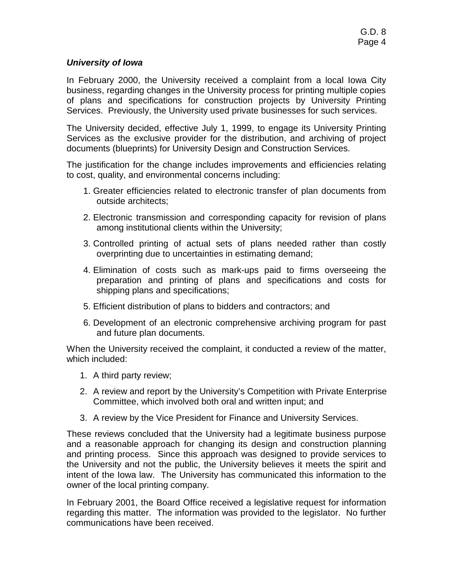# **University of Iowa**

In February 2000, the University received a complaint from a local Iowa City business, regarding changes in the University process for printing multiple copies of plans and specifications for construction projects by University Printing Services. Previously, the University used private businesses for such services.

The University decided, effective July 1, 1999, to engage its University Printing Services as the exclusive provider for the distribution, and archiving of project documents (blueprints) for University Design and Construction Services.

The justification for the change includes improvements and efficiencies relating to cost, quality, and environmental concerns including:

- 1. Greater efficiencies related to electronic transfer of plan documents from outside architects;
- 2. Electronic transmission and corresponding capacity for revision of plans among institutional clients within the University;
- 3. Controlled printing of actual sets of plans needed rather than costly overprinting due to uncertainties in estimating demand;
- 4. Elimination of costs such as mark-ups paid to firms overseeing the preparation and printing of plans and specifications and costs for shipping plans and specifications;
- 5. Efficient distribution of plans to bidders and contractors; and
- 6. Development of an electronic comprehensive archiving program for past and future plan documents.

When the University received the complaint, it conducted a review of the matter, which included:

- 1. A third party review;
- 2. A review and report by the University's Competition with Private Enterprise Committee, which involved both oral and written input; and
- 3. A review by the Vice President for Finance and University Services.

These reviews concluded that the University had a legitimate business purpose and a reasonable approach for changing its design and construction planning and printing process. Since this approach was designed to provide services to the University and not the public, the University believes it meets the spirit and intent of the Iowa law. The University has communicated this information to the owner of the local printing company.

In February 2001, the Board Office received a legislative request for information regarding this matter. The information was provided to the legislator. No further communications have been received.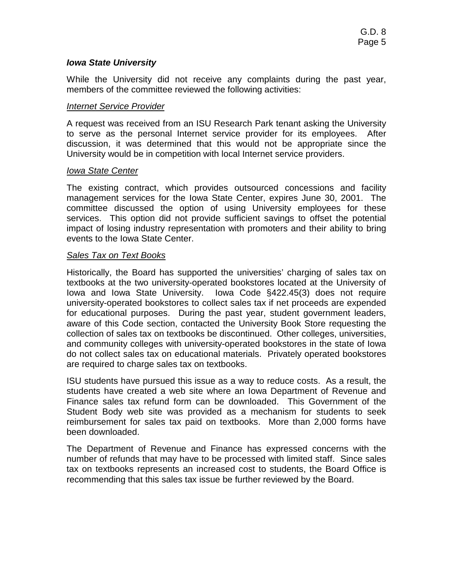# **Iowa State University**

While the University did not receive any complaints during the past year, members of the committee reviewed the following activities:

## Internet Service Provider

A request was received from an ISU Research Park tenant asking the University to serve as the personal Internet service provider for its employees. After discussion, it was determined that this would not be appropriate since the University would be in competition with local Internet service providers.

#### Iowa State Center

The existing contract, which provides outsourced concessions and facility management services for the Iowa State Center, expires June 30, 2001. The committee discussed the option of using University employees for these services. This option did not provide sufficient savings to offset the potential impact of losing industry representation with promoters and their ability to bring events to the Iowa State Center.

## **Sales Tax on Text Books**

Historically, the Board has supported the universities' charging of sales tax on textbooks at the two university-operated bookstores located at the University of Iowa and Iowa State University. Iowa Code §422.45(3) does not require university-operated bookstores to collect sales tax if net proceeds are expended for educational purposes. During the past year, student government leaders, aware of this Code section, contacted the University Book Store requesting the collection of sales tax on textbooks be discontinued. Other colleges, universities, and community colleges with university-operated bookstores in the state of Iowa do not collect sales tax on educational materials. Privately operated bookstores are required to charge sales tax on textbooks.

ISU students have pursued this issue as a way to reduce costs. As a result, the students have created a web site where an Iowa Department of Revenue and Finance sales tax refund form can be downloaded. This Government of the Student Body web site was provided as a mechanism for students to seek reimbursement for sales tax paid on textbooks. More than 2,000 forms have been downloaded.

The Department of Revenue and Finance has expressed concerns with the number of refunds that may have to be processed with limited staff. Since sales tax on textbooks represents an increased cost to students, the Board Office is recommending that this sales tax issue be further reviewed by the Board.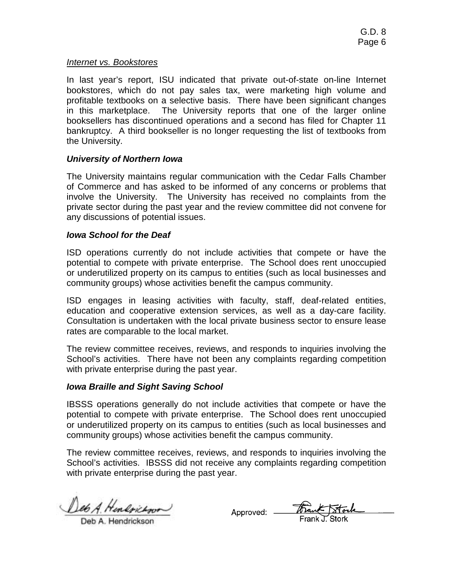#### Internet vs. Bookstores

In last year's report, ISU indicated that private out-of-state on-line Internet bookstores, which do not pay sales tax, were marketing high volume and profitable textbooks on a selective basis. There have been significant changes in this marketplace. The University reports that one of the larger online booksellers has discontinued operations and a second has filed for Chapter 11 bankruptcy. A third bookseller is no longer requesting the list of textbooks from the University.

## **University of Northern Iowa**

The University maintains regular communication with the Cedar Falls Chamber of Commerce and has asked to be informed of any concerns or problems that involve the University. The University has received no complaints from the private sector during the past year and the review committee did not convene for any discussions of potential issues.

#### **Iowa School for the Deaf**

ISD operations currently do not include activities that compete or have the potential to compete with private enterprise. The School does rent unoccupied or underutilized property on its campus to entities (such as local businesses and community groups) whose activities benefit the campus community.

ISD engages in leasing activities with faculty, staff, deaf-related entities, education and cooperative extension services, as well as a day-care facility. Consultation is undertaken with the local private business sector to ensure lease rates are comparable to the local market.

The review committee receives, reviews, and responds to inquiries involving the School's activities. There have not been any complaints regarding competition with private enterprise during the past year.

## **Iowa Braille and Sight Saving School**

IBSSS operations generally do not include activities that compete or have the potential to compete with private enterprise. The School does rent unoccupied or underutilized property on its campus to entities (such as local businesses and community groups) whose activities benefit the campus community.

The review committee receives, reviews, and responds to inquiries involving the School's activities. IBSSS did not receive any complaints regarding competition with private enterprise during the past year.

Deb A. Hendrickson

Approved: Frank Stock